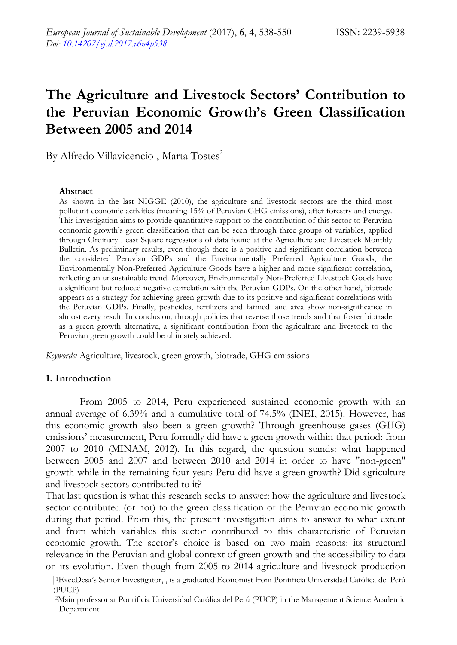# **The Agriculture and Livestock Sectors' Contribution to the Peruvian Economic Growth's Green Classification Between 2005 and 2014**

By Alfredo Villavicencio<sup>1</sup>, Marta Tostes<sup>2</sup>

#### **Abstract**

As shown in the last NIGGE (2010), the agriculture and livestock sectors are the third most pollutant economic activities (meaning 15% of Peruvian GHG emissions), after forestry and energy. This investigation aims to provide quantitative support to the contribution of this sector to Peruvian economic growth's green classification that can be seen through three groups of variables, applied through Ordinary Least Square regressions of data found at the Agriculture and Livestock Monthly Bulletin. As preliminary results, even though there is a positive and significant correlation between the considered Peruvian GDPs and the Environmentally Preferred Agriculture Goods, the Environmentally Non-Preferred Agriculture Goods have a higher and more significant correlation, reflecting an unsustainable trend. Moreover, Environmentally Non-Preferred Livestock Goods have a significant but reduced negative correlation with the Peruvian GDPs. On the other hand, biotrade appears as a strategy for achieving green growth due to its positive and significant correlations with the Peruvian GDPs. Finally, pesticides, fertilizers and farmed land area show non-significance in almost every result. In conclusion, through policies that reverse those trends and that foster biotrade as a green growth alternative, a significant contribution from the agriculture and livestock to the Peruvian green growth could be ultimately achieved.

*Keywords:* Agriculture, livestock, green growth, biotrade, GHG emissions

### **1. Introduction**

From 2005 to 2014, Peru experienced sustained economic growth with an annual average of 6.39% and a cumulative total of 74.5% (INEI, 2015). However, has this economic growth also been a green growth? Through greenhouse gases (GHG) emissions' measurement, Peru formally did have a green growth within that period: from 2007 to 2010 (MINAM, 2012). In this regard, the question stands: what happened between 2005 and 2007 and between 2010 and 2014 in order to have "non-green" growth while in the remaining four years Peru did have a green growth? Did agriculture and livestock sectors contributed to it?

That last question is what this research seeks to answer: how the agriculture and livestock sector contributed (or not) to the green classification of the Peruvian economic growth during that period. From this, the present investigation aims to answer to what extent and from which variables this sector contributed to this characteristic of Peruvian economic growth. The sector's choice is based on two main reasons: its structural relevance in the Peruvian and global context of green growth and the accessibility to data on its evolution. Even though from 2005 to 2014 agriculture and livestock production

<sup>|1</sup>ExceDesa's Senior Investigator, , is a graduated Economist from Pontificia Universidad Católica del Perú (PUCP)

 <sup>2</sup>Main professor at Pontificia Universidad Católica del Perú (PUCP) in the Management Science Academic Department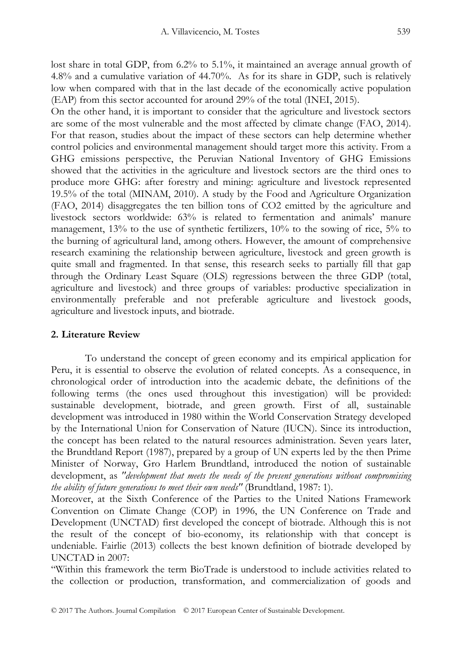lost share in total GDP, from 6.2% to 5.1%, it maintained an average annual growth of 4.8% and a cumulative variation of 44.70%. As for its share in GDP, such is relatively low when compared with that in the last decade of the economically active population (EAP) from this sector accounted for around 29% of the total (INEI, 2015).

On the other hand, it is important to consider that the agriculture and livestock sectors are some of the most vulnerable and the most affected by climate change (FAO, 2014). For that reason, studies about the impact of these sectors can help determine whether control policies and environmental management should target more this activity. From a GHG emissions perspective, the Peruvian National Inventory of GHG Emissions showed that the activities in the agriculture and livestock sectors are the third ones to produce more GHG: after forestry and mining: agriculture and livestock represented 19.5% of the total (MINAM, 2010). A study by the Food and Agriculture Organization (FAO, 2014) disaggregates the ten billion tons of CO2 emitted by the agriculture and livestock sectors worldwide: 63% is related to fermentation and animals' manure management, 13% to the use of synthetic fertilizers, 10% to the sowing of rice, 5% to the burning of agricultural land, among others. However, the amount of comprehensive research examining the relationship between agriculture, livestock and green growth is quite small and fragmented. In that sense, this research seeks to partially fill that gap through the Ordinary Least Square (OLS) regressions between the three GDP (total, agriculture and livestock) and three groups of variables: productive specialization in environmentally preferable and not preferable agriculture and livestock goods, agriculture and livestock inputs, and biotrade.

# **2. Literature Review**

To understand the concept of green economy and its empirical application for Peru, it is essential to observe the evolution of related concepts. As a consequence, in chronological order of introduction into the academic debate, the definitions of the following terms (the ones used throughout this investigation) will be provided: sustainable development, biotrade, and green growth. First of all, sustainable development was introduced in 1980 within the World Conservation Strategy developed by the International Union for Conservation of Nature (IUCN). Since its introduction, the concept has been related to the natural resources administration. Seven years later, the Brundtland Report (1987), prepared by a group of UN experts led by the then Prime Minister of Norway, Gro Harlem Brundtland, introduced the notion of sustainable development, as *"development that meets the needs of the present generations without compromising the ability of future generations to meet their own needs"* (Brundtland, 1987: 1).

Moreover, at the Sixth Conference of the Parties to the United Nations Framework Convention on Climate Change (COP) in 1996, the UN Conference on Trade and Development (UNCTAD) first developed the concept of biotrade. Although this is not the result of the concept of bio-economy, its relationship with that concept is undeniable. Fairlie (2013) collects the best known definition of biotrade developed by UNCTAD in 2007:

"Within this framework the term BioTrade is understood to include activities related to the collection or production, transformation, and commercialization of goods and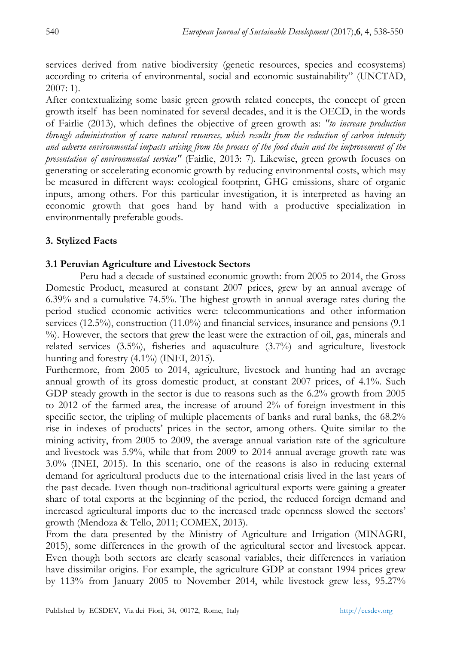services derived from native biodiversity (genetic resources, species and ecosystems) according to criteria of environmental, social and economic sustainability" (UNCTAD, 2007: 1).

After contextualizing some basic green growth related concepts, the concept of green growth itself has been nominated for several decades, and it is the OECD, in the words of Fairlie (2013), which defines the objective of green growth as: *"to increase production through administration of scarce natural resources, which results from the reduction of carbon intensity and adverse environmental impacts arising from the process of the food chain and the improvement of the presentation of environmental services"* (Fairlie, 2013: 7)*.* Likewise, green growth focuses on generating or accelerating economic growth by reducing environmental costs, which may be measured in different ways: ecological footprint, GHG emissions, share of organic inputs, among others. For this particular investigation, it is interpreted as having an economic growth that goes hand by hand with a productive specialization in environmentally preferable goods.

# **3. Stylized Facts**

# **3.1 Peruvian Agriculture and Livestock Sectors**

Peru had a decade of sustained economic growth: from 2005 to 2014, the Gross Domestic Product, measured at constant 2007 prices, grew by an annual average of 6.39% and a cumulative 74.5%. The highest growth in annual average rates during the period studied economic activities were: telecommunications and other information services (12.5%), construction (11.0%) and financial services, insurance and pensions (9.1 %). However, the sectors that grew the least were the extraction of oil, gas, minerals and related services (3.5%), fisheries and aquaculture (3.7%) and agriculture, livestock hunting and forestry (4.1%) (INEI, 2015).

Furthermore, from 2005 to 2014, agriculture, livestock and hunting had an average annual growth of its gross domestic product, at constant 2007 prices, of 4.1%. Such GDP steady growth in the sector is due to reasons such as the 6.2% growth from 2005 to 2012 of the farmed area, the increase of around 2% of foreign investment in this specific sector, the tripling of multiple placements of banks and rural banks, the 68.2% rise in indexes of products' prices in the sector, among others. Quite similar to the mining activity, from 2005 to 2009, the average annual variation rate of the agriculture and livestock was 5.9%, while that from 2009 to 2014 annual average growth rate was 3.0% (INEI, 2015). In this scenario, one of the reasons is also in reducing external demand for agricultural products due to the international crisis lived in the last years of the past decade. Even though non-traditional agricultural exports were gaining a greater share of total exports at the beginning of the period, the reduced foreign demand and increased agricultural imports due to the increased trade openness slowed the sectors' growth (Mendoza & Tello, 2011; COMEX, 2013).

From the data presented by the Ministry of Agriculture and Irrigation (MINAGRI, 2015), some differences in the growth of the agricultural sector and livestock appear. Even though both sectors are clearly seasonal variables, their differences in variation have dissimilar origins. For example, the agriculture GDP at constant 1994 prices grew by 113% from January 2005 to November 2014, while livestock grew less, 95.27%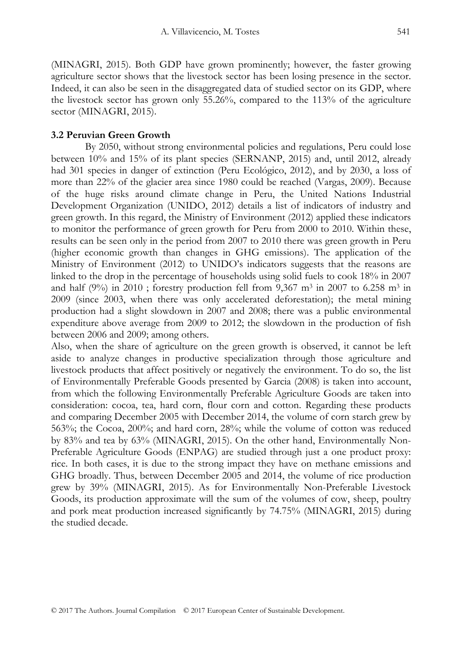(MINAGRI, 2015). Both GDP have grown prominently; however, the faster growing agriculture sector shows that the livestock sector has been losing presence in the sector. Indeed, it can also be seen in the disaggregated data of studied sector on its GDP, where the livestock sector has grown only 55.26%, compared to the 113% of the agriculture sector (MINAGRI, 2015).

# **3.2 Peruvian Green Growth**

By 2050, without strong environmental policies and regulations, Peru could lose between 10% and 15% of its plant species (SERNANP, 2015) and, until 2012, already had 301 species in danger of extinction (Peru Ecológico, 2012), and by 2030, a loss of more than 22% of the glacier area since 1980 could be reached (Vargas, 2009). Because of the huge risks around climate change in Peru, the United Nations Industrial Development Organization (UNIDO, 2012) details a list of indicators of industry and green growth. In this regard, the Ministry of Environment (2012) applied these indicators to monitor the performance of green growth for Peru from 2000 to 2010. Within these, results can be seen only in the period from 2007 to 2010 there was green growth in Peru (higher economic growth than changes in GHG emissions). The application of the Ministry of Environment (2012) to UNIDO's indicators suggests that the reasons are linked to the drop in the percentage of households using solid fuels to cook 18% in 2007 and half (9%) in 2010 ; forestry production fell from 9,367  $m^3$  in 2007 to 6.258  $m^3$  in 2009 (since 2003, when there was only accelerated deforestation); the metal mining production had a slight slowdown in 2007 and 2008; there was a public environmental expenditure above average from 2009 to 2012; the slowdown in the production of fish between 2006 and 2009; among others.

Also, when the share of agriculture on the green growth is observed, it cannot be left aside to analyze changes in productive specialization through those agriculture and livestock products that affect positively or negatively the environment. To do so, the list of Environmentally Preferable Goods presented by Garcia (2008) is taken into account, from which the following Environmentally Preferable Agriculture Goods are taken into consideration: cocoa, tea, hard corn, flour corn and cotton. Regarding these products and comparing December 2005 with December 2014, the volume of corn starch grew by 563%; the Cocoa, 200%; and hard corn, 28%; while the volume of cotton was reduced by 83% and tea by 63% (MINAGRI, 2015). On the other hand, Environmentally Non-Preferable Agriculture Goods (ENPAG) are studied through just a one product proxy: rice. In both cases, it is due to the strong impact they have on methane emissions and GHG broadly. Thus, between December 2005 and 2014, the volume of rice production grew by 39% (MINAGRI, 2015). As for Environmentally Non-Preferable Livestock Goods, its production approximate will the sum of the volumes of cow, sheep, poultry and pork meat production increased significantly by 74.75% (MINAGRI, 2015) during the studied decade.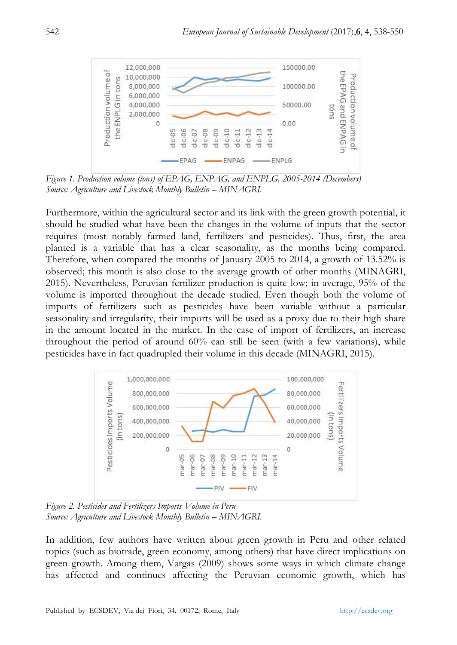

*Figure 1. Production volume (tons) of EPAG, ENPAG, and ENPLG, 2005-2014 (Decembers) Source: Agriculture and Livestock Monthly Bulletin – MINAGRI.* 

Furthermore, within the agricultural sector and its link with the green growth potential, it should be studied what have been the changes in the volume of inputs that the sector requires (most notably farmed land, fertilizers and pesticides). Thus, first, the area planted is a variable that has a clear seasonality, as the months being compared. Therefore, when compared the months of January 2005 to 2014, a growth of 13.52% is observed; this month is also close to the average growth of other months (MINAGRI, 2015). Nevertheless, Peruvian fertilizer production is quite low; in average, 95% of the volume is imported throughout the decade studied. Even though both the volume of imports of fertilizers such as pesticides have been variable without a particular seasonality and irregularity, their imports will be used as a proxy due to their high share in the amount located in the market. In the case of import of fertilizers, an increase throughout the period of around 60% can still be seen (with a few variations), while pesticides have in fact quadrupled their volume in this decade (MINAGRI, 2015).



*Figure 2. Pesticides and Fertilizers Imports Volume in Peru Source: Agriculture and Livestock Monthly Bulletin – MINAGRI.* 

In addition, few authors have written about green growth in Peru and other related topics (such as biotrade, green economy, among others) that have direct implications on green growth. Among them, Vargas (2009) shows some ways in which climate change has affected and continues affecting the Peruvian economic growth, which has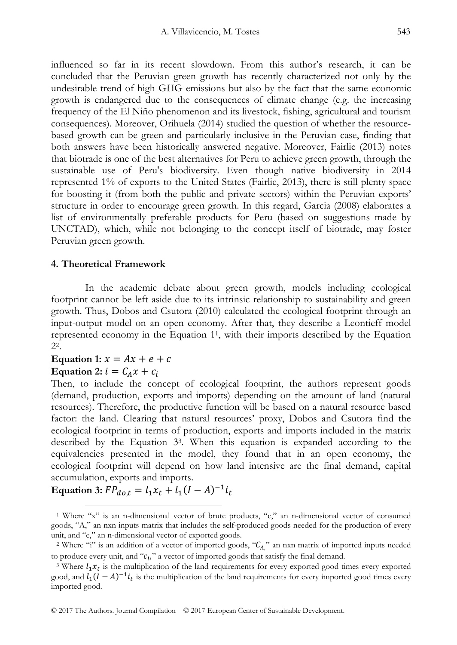influenced so far in its recent slowdown. From this author's research, it can be concluded that the Peruvian green growth has recently characterized not only by the undesirable trend of high GHG emissions but also by the fact that the same economic growth is endangered due to the consequences of climate change (e.g. the increasing frequency of the El Niño phenomenon and its livestock, fishing, agricultural and tourism consequences). Moreover, Orihuela (2014) studied the question of whether the resourcebased growth can be green and particularly inclusive in the Peruvian case, finding that both answers have been historically answered negative. Moreover, Fairlie (2013) notes that biotrade is one of the best alternatives for Peru to achieve green growth, through the sustainable use of Peru's biodiversity. Even though native biodiversity in 2014 represented 1% of exports to the United States (Fairlie, 2013), there is still plenty space for boosting it (from both the public and private sectors) within the Peruvian exports' structure in order to encourage green growth. In this regard, Garcia (2008) elaborates a list of environmentally preferable products for Peru (based on suggestions made by UNCTAD), which, while not belonging to the concept itself of biotrade, may foster Peruvian green growth.

### **4. Theoretical Framework**

In the academic debate about green growth, models including ecological footprint cannot be left aside due to its intrinsic relationship to sustainability and green growth. Thus, Dobos and Csutora (2010) calculated the ecological footprint through an input-output model on an open economy. After that, they describe a Leontieff model represented economy in the Equation 11, with their imports described by the Equation 22.

# Equation 1:  $x = Ax + e + c$

# Equation 2:  $i = C_A x + c_i$

Then, to include the concept of ecological footprint, the authors represent goods (demand, production, exports and imports) depending on the amount of land (natural resources). Therefore, the productive function will be based on a natural resource based factor: the land. Clearing that natural resources' proxy, Dobos and Csutora find the ecological footprint in terms of production, exports and imports included in the matrix described by the Equation 33. When this equation is expanded according to the equivalencies presented in the model, they found that in an open economy, the ecological footprint will depend on how land intensive are the final demand, capital accumulation, exports and imports.

**Equation 3:**  $FP_{dot} = l_1 x_t + l_1 (I - A)^{-1} i_t$ 

 <sup>1</sup> Where "x" is an n-dimensional vector of brute products, "c," an n-dimensional vector of consumed goods, "A," an nxn inputs matrix that includes the self-produced goods needed for the production of every unit, and "e," an n-dimensional vector of exported goods.

<sup>&</sup>lt;sup>2</sup> Where "i" is an addition of a vector of imported goods, " $C_A$ " an nxn matrix of imported inputs needed to produce every unit, and " $c_i$ " a vector of imported goods that satisfy the final demand.<br><sup>3</sup> Where  $l_1 x_t$  is the multiplication of the land requirements for every exported good times every exported

good, and  $l_1(I-A)^{-1}i_t$  is the multiplication of the land requirements for every imported good times every imported good.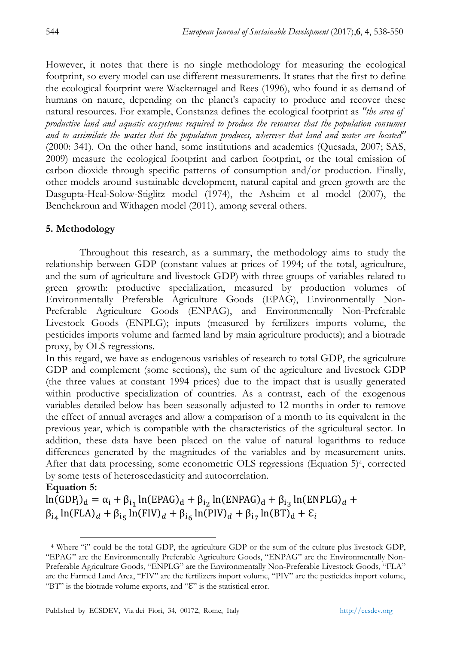However, it notes that there is no single methodology for measuring the ecological footprint, so every model can use different measurements. It states that the first to define the ecological footprint were Wackernagel and Rees (1996), who found it as demand of humans on nature, depending on the planet's capacity to produce and recover these natural resources. For example, Constanza defines the ecological footprint as *"the area of productive land and aquatic ecosystems required to produce the resources that the population consumes and to assimilate the wastes that the population produces, wherever that land and water are located"* (2000: 341). On the other hand, some institutions and academics (Quesada, 2007; SAS, 2009) measure the ecological footprint and carbon footprint, or the total emission of carbon dioxide through specific patterns of consumption and/or production. Finally, other models around sustainable development, natural capital and green growth are the Dasgupta-Heal-Solow-Stiglitz model (1974), the Asheim et al model (2007), the Benchekroun and Withagen model (2011), among several others.

# **5. Methodology**

Throughout this research, as a summary, the methodology aims to study the relationship between GDP (constant values at prices of 1994; of the total, agriculture, and the sum of agriculture and livestock GDP) with three groups of variables related to green growth: productive specialization, measured by production volumes of Environmentally Preferable Agriculture Goods (EPAG), Environmentally Non-Preferable Agriculture Goods (ENPAG), and Environmentally Non-Preferable Livestock Goods (ENPLG); inputs (measured by fertilizers imports volume, the pesticides imports volume and farmed land by main agriculture products); and a biotrade proxy, by OLS regressions.

In this regard, we have as endogenous variables of research to total GDP, the agriculture GDP and complement (some sections), the sum of the agriculture and livestock GDP (the three values at constant 1994 prices) due to the impact that is usually generated within productive specialization of countries. As a contrast, each of the exogenous variables detailed below has been seasonally adjusted to 12 months in order to remove the effect of annual averages and allow a comparison of a month to its equivalent in the previous year, which is compatible with the characteristics of the agricultural sector. In addition, these data have been placed on the value of natural logarithms to reduce differences generated by the magnitudes of the variables and by measurement units. After that data processing, some econometric OLS regressions (Equation 5)4, corrected by some tests of heteroscedasticity and autocorrelation.

# **Equation 5:**

 $ln(GDP_i)_d = \alpha_i + \beta_{i_1} ln(EPAG)_d + \beta_{i_2} ln(ENPAG)_d + \beta_{i_3} ln(ENPLG)_d +$  $\beta_{14}$  ln(FLA)<sub>d</sub> +  $\beta_{15}$  ln(FIV)<sub>d</sub> +  $\beta_{16}$  ln(PIV)<sub>d</sub> +  $\beta_{17}$  ln(BT)<sub>d</sub> +  $\epsilon_i$ 

 <sup>4</sup> Where "i" could be the total GDP, the agriculture GDP or the sum of the culture plus livestock GDP, "EPAG" are the Environmentally Preferable Agriculture Goods, "ENPAG" are the Environmentally Non-Preferable Agriculture Goods, "ENPLG" are the Environmentally Non-Preferable Livestock Goods, "FLA" are the Farmed Land Area, "FIV" are the fertilizers import volume, "PIV" are the pesticides import volume, "BT" is the biotrade volume exports, and "ℇ" is the statistical error.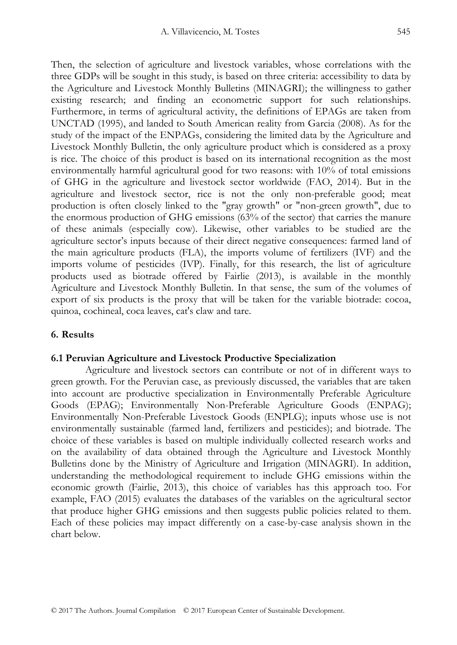Then, the selection of agriculture and livestock variables, whose correlations with the three GDPs will be sought in this study, is based on three criteria: accessibility to data by the Agriculture and Livestock Monthly Bulletins (MINAGRI); the willingness to gather existing research; and finding an econometric support for such relationships. Furthermore, in terms of agricultural activity, the definitions of EPAGs are taken from UNCTAD (1995), and landed to South American reality from Garcia (2008). As for the study of the impact of the ENPAGs, considering the limited data by the Agriculture and Livestock Monthly Bulletin, the only agriculture product which is considered as a proxy is rice. The choice of this product is based on its international recognition as the most environmentally harmful agricultural good for two reasons: with 10% of total emissions of GHG in the agriculture and livestock sector worldwide (FAO, 2014). But in the agriculture and livestock sector, rice is not the only non-preferable good; meat production is often closely linked to the "gray growth" or "non-green growth", due to the enormous production of GHG emissions (63% of the sector) that carries the manure of these animals (especially cow). Likewise, other variables to be studied are the agriculture sector's inputs because of their direct negative consequences: farmed land of the main agriculture products (FLA), the imports volume of fertilizers (IVF) and the imports volume of pesticides (IVP). Finally, for this research, the list of agriculture products used as biotrade offered by Fairlie (2013), is available in the monthly Agriculture and Livestock Monthly Bulletin. In that sense, the sum of the volumes of export of six products is the proxy that will be taken for the variable biotrade: cocoa, quinoa, cochineal, coca leaves, cat's claw and tare.

### **6. Results**

### **6.1 Peruvian Agriculture and Livestock Productive Specialization**

Agriculture and livestock sectors can contribute or not of in different ways to green growth. For the Peruvian case, as previously discussed, the variables that are taken into account are productive specialization in Environmentally Preferable Agriculture Goods (EPAG); Environmentally Non-Preferable Agriculture Goods (ENPAG); Environmentally Non-Preferable Livestock Goods (ENPLG); inputs whose use is not environmentally sustainable (farmed land, fertilizers and pesticides); and biotrade. The choice of these variables is based on multiple individually collected research works and on the availability of data obtained through the Agriculture and Livestock Monthly Bulletins done by the Ministry of Agriculture and Irrigation (MINAGRI). In addition, understanding the methodological requirement to include GHG emissions within the economic growth (Fairlie, 2013), this choice of variables has this approach too. For example, FAO (2015) evaluates the databases of the variables on the agricultural sector that produce higher GHG emissions and then suggests public policies related to them. Each of these policies may impact differently on a case-by-case analysis shown in the chart below.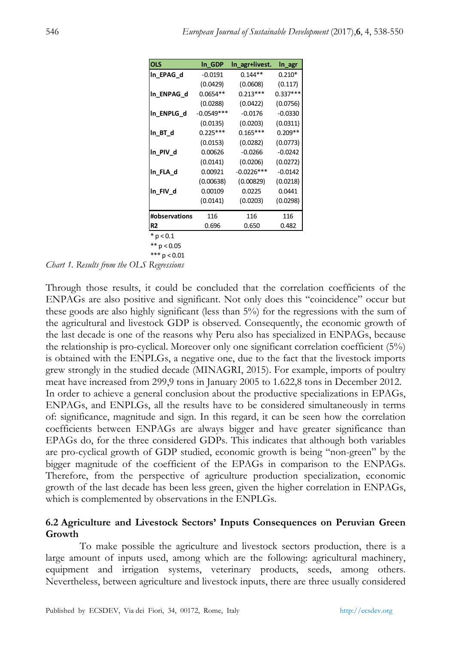| <b>OLS</b>     | In GDP       | In agr+livest. | In_agr     |
|----------------|--------------|----------------|------------|
| In EPAG d      | $-0.0191$    | $0.144**$      | $0.210*$   |
|                | (0.0429)     | (0.0608)       | (0.117)    |
| In ENPAG d     | $0.0654**$   | $0.213***$     | $0.337***$ |
|                | (0.0288)     | (0.0422)       | (0.0756)   |
| In ENPLG d     | $-0.0549***$ | $-0.0176$      | $-0.0330$  |
|                | (0.0135)     | (0.0203)       | (0.0311)   |
| In BT d        | $0.225***$   | $0.165***$     | $0.209**$  |
|                | (0.0153)     | (0.0282)       | (0.0773)   |
| In PIV d       | 0.00626      | $-0.0266$      | $-0.0242$  |
|                | (0.0141)     | (0.0206)       | (0.0272)   |
| In FLA d       | 0.00921      | $-0.0226***$   | $-0.0142$  |
|                | (0.00638)    | (0.00829)      | (0.0218)   |
| In FIV d       | 0.00109      | 0.0225         | 0.0441     |
|                | (0.0141)     | (0.0203)       | (0.0298)   |
| #observations  | 116          | 116            | 116        |
| R <sub>2</sub> | 0.696        | 0.650          | 0.482      |
| $*$ p < 0.1    |              |                |            |

 $** p < 0.05$ 

*Chart 1. Results from the OLS Regressions*  \*\*\* p < 0.01

Through those results, it could be concluded that the correlation coefficients of the ENPAGs are also positive and significant. Not only does this "coincidence" occur but these goods are also highly significant (less than 5%) for the regressions with the sum of the agricultural and livestock GDP is observed. Consequently, the economic growth of the last decade is one of the reasons why Peru also has specialized in ENPAGs, because the relationship is pro-cyclical. Moreover only one significant correlation coefficient (5%) is obtained with the ENPLGs, a negative one, due to the fact that the livestock imports grew strongly in the studied decade (MINAGRI, 2015). For example, imports of poultry meat have increased from 299,9 tons in January 2005 to 1.622,8 tons in December 2012. In order to achieve a general conclusion about the productive specializations in EPAGs, ENPAGs, and ENPLGs, all the results have to be considered simultaneously in terms of: significance, magnitude and sign. In this regard, it can be seen how the correlation coefficients between ENPAGs are always bigger and have greater significance than EPAGs do, for the three considered GDPs. This indicates that although both variables are pro-cyclical growth of GDP studied, economic growth is being "non-green" by the bigger magnitude of the coefficient of the EPAGs in comparison to the ENPAGs. Therefore, from the perspective of agriculture production specialization, economic growth of the last decade has been less green, given the higher correlation in ENPAGs, which is complemented by observations in the ENPLGs.

### **6.2 Agriculture and Livestock Sectors' Inputs Consequences on Peruvian Green Growth**

To make possible the agriculture and livestock sectors production, there is a large amount of inputs used, among which are the following: agricultural machinery, equipment and irrigation systems, veterinary products, seeds, among others. Nevertheless, between agriculture and livestock inputs, there are three usually considered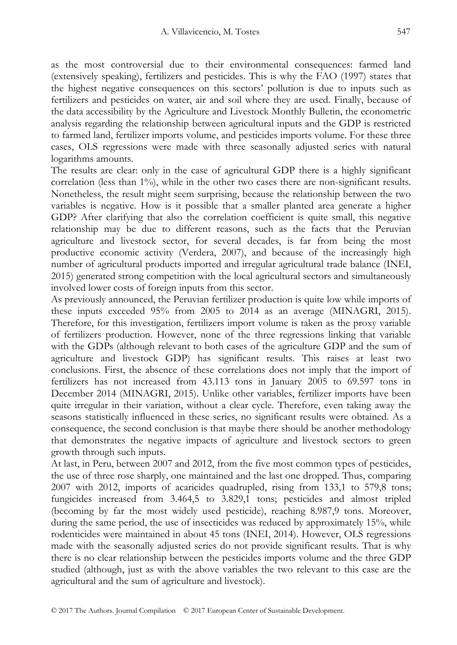as the most controversial due to their environmental consequences: farmed land (extensively speaking), fertilizers and pesticides. This is why the FAO (1997) states that the highest negative consequences on this sectors' pollution is due to inputs such as fertilizers and pesticides on water, air and soil where they are used. Finally, because of the data accessibility by the Agriculture and Livestock Monthly Bulletin, the econometric analysis regarding the relationship between agricultural inputs and the GDP is restricted to farmed land, fertilizer imports volume, and pesticides imports volume. For these three cases, OLS regressions were made with three seasonally adjusted series with natural logarithms amounts.

The results are clear: only in the case of agricultural GDP there is a highly significant correlation (less than 1%), while in the other two cases there are non-significant results. Nonetheless, the result might seem surprising, because the relationship between the two variables is negative. How is it possible that a smaller planted area generate a higher GDP? After clarifying that also the correlation coefficient is quite small, this negative relationship may be due to different reasons, such as the facts that the Peruvian agriculture and livestock sector, for several decades, is far from being the most productive economic activity (Verdera, 2007), and because of the increasingly high number of agricultural products imported and irregular agricultural trade balance (INEI, 2015) generated strong competition with the local agricultural sectors and simultaneously involved lower costs of foreign inputs from this sector.

As previously announced, the Peruvian fertilizer production is quite low while imports of these inputs exceeded 95% from 2005 to 2014 as an average (MINAGRI, 2015). Therefore, for this investigation, fertilizers import volume is taken as the proxy variable of fertilizers production. However, none of the three regressions linking that variable with the GDPs (although relevant to both cases of the agriculture GDP and the sum of agriculture and livestock GDP) has significant results. This raises at least two conclusions. First, the absence of these correlations does not imply that the import of fertilizers has not increased from 43.113 tons in January 2005 to 69.597 tons in December 2014 (MINAGRI, 2015). Unlike other variables, fertilizer imports have been quite irregular in their variation, without a clear cycle. Therefore, even taking away the seasons statistically influenced in these series, no significant results were obtained. As a consequence, the second conclusion is that maybe there should be another methodology that demonstrates the negative impacts of agriculture and livestock sectors to green growth through such inputs.

At last, in Peru, between 2007 and 2012, from the five most common types of pesticides, the use of three rose sharply, one maintained and the last one dropped. Thus, comparing 2007 with 2012, imports of acaricides quadrupled, rising from 133,1 to 579,8 tons; fungicides increased from 3.464,5 to 3.829,1 tons; pesticides and almost tripled (becoming by far the most widely used pesticide), reaching 8.987,9 tons. Moreover, during the same period, the use of insecticides was reduced by approximately 15%, while rodenticides were maintained in about 45 tons (INEI, 2014). However, OLS regressions made with the seasonally adjusted series do not provide significant results. That is why there is no clear relationship between the pesticides imports volume and the three GDP studied (although, just as with the above variables the two relevant to this case are the agricultural and the sum of agriculture and livestock).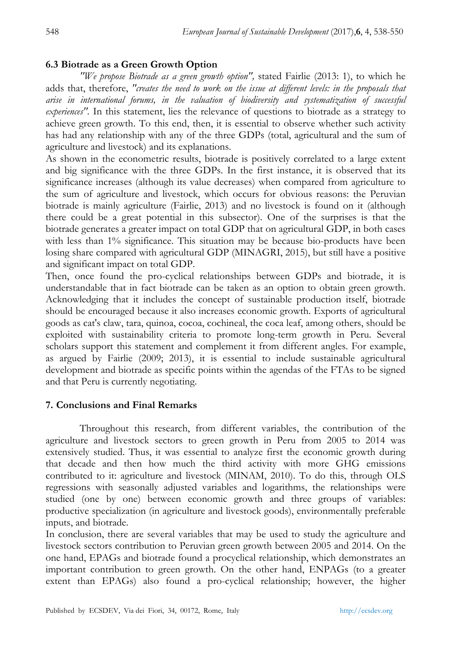# **6.3 Biotrade as a Green Growth Option**

*"We propose Biotrade as a green growth option",* stated Fairlie (2013: 1), to which he adds that, therefore, *"creates the need to work on the issue at different levels: in the proposals that arise in international forums, in the valuation of biodiversity and systematization of successful experiences".* In this statement, lies the relevance of questions to biotrade as a strategy to achieve green growth. To this end, then, it is essential to observe whether such activity has had any relationship with any of the three GDPs (total, agricultural and the sum of agriculture and livestock) and its explanations.

As shown in the econometric results, biotrade is positively correlated to a large extent and big significance with the three GDPs. In the first instance, it is observed that its significance increases (although its value decreases) when compared from agriculture to the sum of agriculture and livestock, which occurs for obvious reasons: the Peruvian biotrade is mainly agriculture (Fairlie, 2013) and no livestock is found on it (although there could be a great potential in this subsector). One of the surprises is that the biotrade generates a greater impact on total GDP that on agricultural GDP, in both cases with less than 1% significance. This situation may be because bio-products have been losing share compared with agricultural GDP (MINAGRI, 2015), but still have a positive and significant impact on total GDP.

Then, once found the pro-cyclical relationships between GDPs and biotrade, it is understandable that in fact biotrade can be taken as an option to obtain green growth. Acknowledging that it includes the concept of sustainable production itself, biotrade should be encouraged because it also increases economic growth. Exports of agricultural goods as cat's claw, tara, quinoa, cocoa, cochineal, the coca leaf, among others, should be exploited with sustainability criteria to promote long-term growth in Peru. Several scholars support this statement and complement it from different angles. For example, as argued by Fairlie (2009; 2013), it is essential to include sustainable agricultural development and biotrade as specific points within the agendas of the FTAs to be signed and that Peru is currently negotiating.

# **7. Conclusions and Final Remarks**

Throughout this research, from different variables, the contribution of the agriculture and livestock sectors to green growth in Peru from 2005 to 2014 was extensively studied. Thus, it was essential to analyze first the economic growth during that decade and then how much the third activity with more GHG emissions contributed to it: agriculture and livestock (MINAM, 2010). To do this, through OLS regressions with seasonally adjusted variables and logarithms, the relationships were studied (one by one) between economic growth and three groups of variables: productive specialization (in agriculture and livestock goods), environmentally preferable inputs, and biotrade.

In conclusion, there are several variables that may be used to study the agriculture and livestock sectors contribution to Peruvian green growth between 2005 and 2014. On the one hand, EPAGs and biotrade found a procyclical relationship, which demonstrates an important contribution to green growth. On the other hand, ENPAGs (to a greater extent than EPAGs) also found a pro-cyclical relationship; however, the higher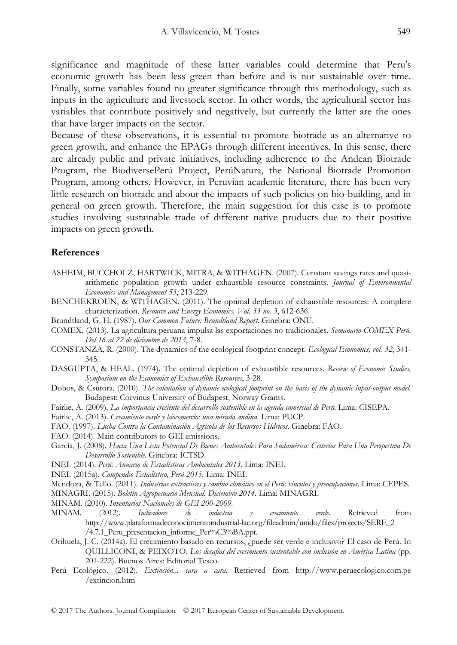significance and magnitude of these latter variables could determine that Peru's economic growth has been less green than before and is not sustainable over time. Finally, some variables found no greater significance through this methodology, such as inputs in the agriculture and livestock sector. In other words, the agricultural sector has variables that contribute positively and negatively, but currently the latter are the ones that have larger impacts on the sector.

Because of these observations, it is essential to promote biotrade as an alternative to green growth, and enhance the EPAGs through different incentives. In this sense, there are already public and private initiatives, including adherence to the Andean Biotrade Program, the BiodiversePerú Project, PerúNatura, the National Biotrade Promotion Program, among others. However, in Peruvian academic literature, there has been very little research on biotrade and about the impacts of such policies on bio-building, and in general on green growth. Therefore, the main suggestion for this case is to promote studies involving sustainable trade of different native products due to their positive impacts on green growth.

### **References**

- ASHEIM, BUCCHOLZ, HARTWICK, MITRA, & WITHAGEN. (2007). Constant savings rates and quasiarithmetic population growth under exhaustible resource constraints. *Journal of Environmental Economics and Management 53*, 213-229.
- BENCHEKROUN, & WITHAGEN. (2011). The optimal depletion of exhaustible resources: A complete characterization. *Resource and Energy Economics, Vol. 33 no. 3*, 612-636.
- Brundtland, G. H. (1987). *Our Common Future: Brundtland Report.* Ginebra: ONU.
- COMEX. (2013). La agricultura peruana impulsa las exportaciones no tradicionales. *Semanario COMEX Perú. Del 16 al 22 de diciembre de 2013*, 7-8.
- CONSTANZA, R. (2000). The dynamics of the ecological footprint concept. *Ecological Economics, vol. 32*, 341- 345.
- DASGUPTA, & HEAL. (1974). The optimal depletion of exhaustible resources. *Review of Economic Studies, Symposium on the Economics of Exhaustible Resources*, 3-28.
- Dobos, & Csutora. (2010). *The calculation of dynamic ecological footprint on the basis of the dynamic input-output model.* Budapest: Corvinus University of Budapest, Norway Grants.
- Fairlie, A. (2009). *La importancia creciente del desarrollo sostenible en la agenda comercial de Perú.* Lima: CISEPA.
- Fairlie, A. (2013). *Crecimiento verde y biocomercio: una mirada andina.* Lima: PUCP.
- FAO. (1997). *Lucha Contra la Contaminación Agrícola de los Recursos Hídricos.* Ginebra: FAO.
- FAO. (2014). Main contributors to GEI emissions.
- García, J. (2008). *Hacia Una Lista Potencial De Bienes Ambientales Para Sudamérica: Criterios Para Una Perspectiva De Desarrollo Sostenible.* Ginebra: ICTSD.
- INEI. (2014). *Perú: Anuario de Estadísticas Ambientales 2013.* Lima: INEI.
- INEI. (2015a). *Compendio Estadístico, Perú 2015.* Lima: INEI.
- Mendoza, & Tello. (2011). *Industrias extractivas y cambio climático en el Perú: vínculos y preocupaciones.* Lima: CEPES.
- MINAGRI. (2015). *Boletín Agropecuario Mensual. Diciembre 2014.* Lima: MINAGRI.
- MINAM. (2010). *Inventarios Nacionales de GEI 200-2009.*
- MINAM. (2012). *Indicadores de industria y crecimiento verde*. Retrieved from http://www.plataformadeconocimientoindustrial-lac.org/fileadmin/unido/files/projects/SERE\_2 /4.7.1\_Peru\_presentacion\_informe\_Per%C3%BA.ppt.
- Orihuela, J. C. (2014a). El crecimiento basado en recursos, ¿puede ser verde e inclusivo? El caso de Perú. In QUILLICONI, & PEIXOTO, *Los desafíos del crecimiento sustentable con inclusión en América Latina* (pp. 201-222). Buenos Aires: Editorial Teseo.
- Perú Ecológico. (2012). *Extinción... cara a cara*. Retrieved from http://www.peruecologico.com.pe /extincion.htm